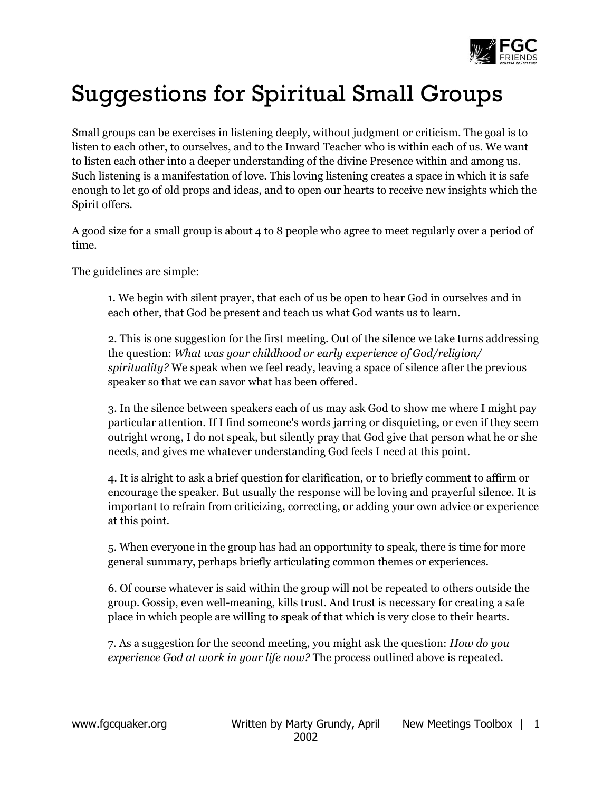

## Suggestions for Spiritual Small Groups

Small groups can be exercises in listening deeply, without judgment or criticism. The goal is to listen to each other, to ourselves, and to the Inward Teacher who is within each of us. We want to listen each other into a deeper understanding of the divine Presence within and among us. Such listening is a manifestation of love. This loving listening creates a space in which it is safe enough to let go of old props and ideas, and to open our hearts to receive new insights which the Spirit offers.

A good size for a small group is about 4 to 8 people who agree to meet regularly over a period of time.

The guidelines are simple:

1. We begin with silent prayer, that each of us be open to hear God in ourselves and in each other, that God be present and teach us what God wants us to learn.

2. This is one suggestion for the first meeting. Out of the silence we take turns addressing the question: *What was your childhood or early experience of God/religion/ spirituality?* We speak when we feel ready, leaving a space of silence after the previous speaker so that we can savor what has been offered.

3. In the silence between speakers each of us may ask God to show me where I might pay particular attention. If I find someone's words jarring or disquieting, or even if they seem outright wrong, I do not speak, but silently pray that God give that person what he or she needs, and gives me whatever understanding God feels I need at this point.

4. It is alright to ask a brief question for clarification, or to briefly comment to affirm or encourage the speaker. But usually the response will be loving and prayerful silence. It is important to refrain from criticizing, correcting, or adding your own advice or experience at this point.

5. When everyone in the group has had an opportunity to speak, there is time for more general summary, perhaps briefly articulating common themes or experiences.

6. Of course whatever is said within the group will not be repeated to others outside the group. Gossip, even well-meaning, kills trust. And trust is necessary for creating a safe place in which people are willing to speak of that which is very close to their hearts.

7. As a suggestion for the second meeting, you might ask the question: *How do you experience God at work in your life now?* The process outlined above is repeated.